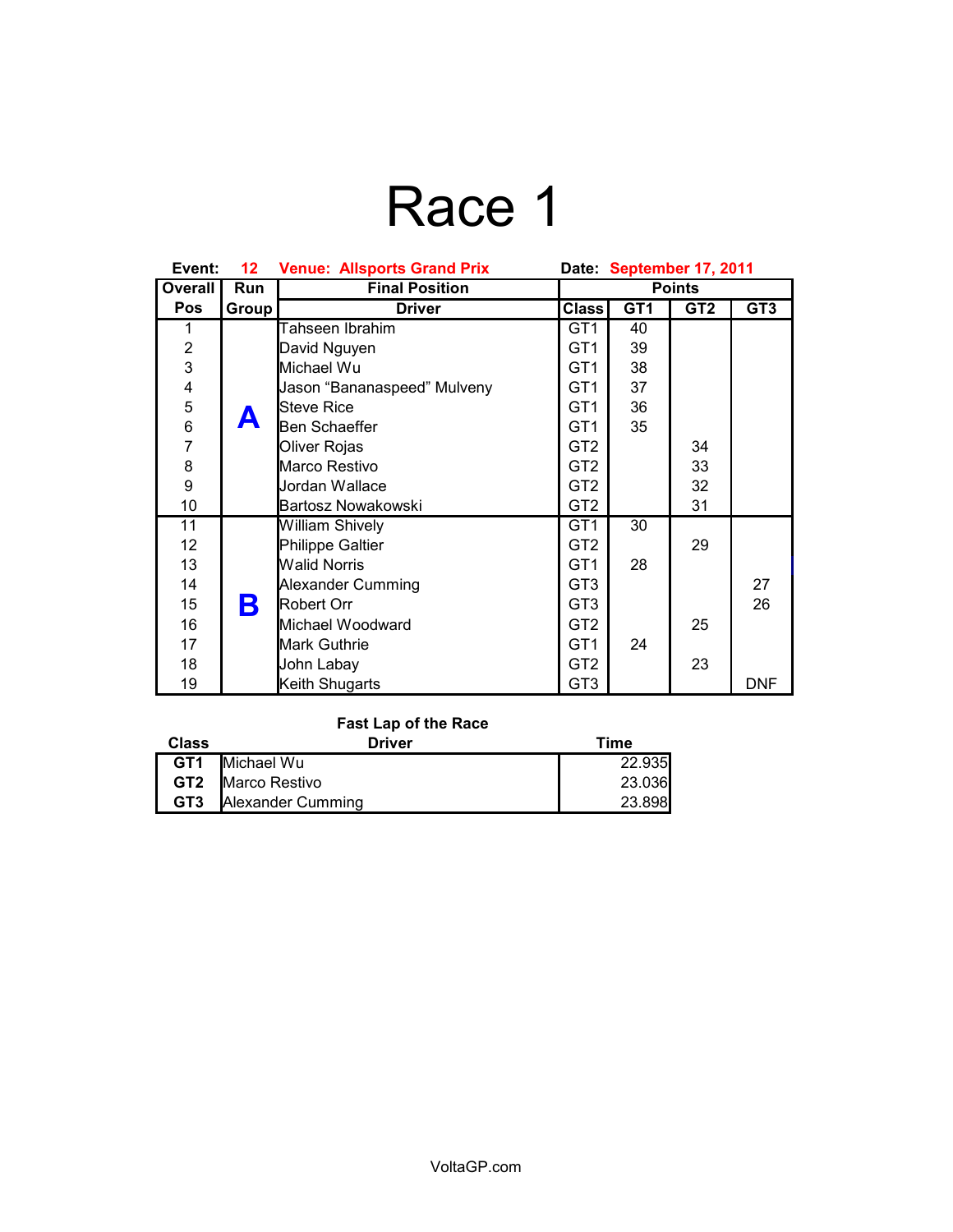## Race 1

| Event:                  | 12 <sup>°</sup> | <b>Venue: Allsports Grand Prix</b> |                 |                 | Date: September 17, 2011 |                 |
|-------------------------|-----------------|------------------------------------|-----------------|-----------------|--------------------------|-----------------|
| Overall                 | Run             | <b>Final Position</b>              | <b>Points</b>   |                 |                          |                 |
| <b>Pos</b>              | Group           | <b>Driver</b>                      | Class           | GT <sub>1</sub> | GT <sub>2</sub>          | GT <sub>3</sub> |
| 1                       |                 | Tahseen Ibrahim                    | GT <sub>1</sub> | 40              |                          |                 |
| $\overline{\mathbf{c}}$ |                 | David Nguyen                       | GT <sub>1</sub> | 39              |                          |                 |
| $\overline{3}$          |                 | Michael Wu                         | GT <sub>1</sub> | 38              |                          |                 |
| $\overline{\mathbf{4}}$ |                 | Jason "Bananaspeed" Mulveny        | GT <sub>1</sub> | 37              |                          |                 |
| 5                       |                 | <b>Steve Rice</b>                  | GT <sub>1</sub> | 36              |                          |                 |
| 6                       |                 | Ben Schaeffer                      | GT <sub>1</sub> | 35              |                          |                 |
| $\overline{7}$          |                 | Oliver Rojas                       | GT <sub>2</sub> |                 | 34                       |                 |
| 8                       |                 | Marco Restivo                      | GT <sub>2</sub> |                 | 33                       |                 |
| 9                       |                 | Jordan Wallace                     | GT <sub>2</sub> |                 | 32                       |                 |
| 10                      |                 | Bartosz Nowakowski                 | GT <sub>2</sub> |                 | 31                       |                 |
| 11                      |                 | William Shively                    | GT <sub>1</sub> | 30              |                          |                 |
| 12                      |                 | <b>Philippe Galtier</b>            | GT <sub>2</sub> |                 | 29                       |                 |
| 13                      |                 | <b>Walid Norris</b>                | GT <sub>1</sub> | 28              |                          |                 |
| 14                      | B               | <b>Alexander Cumming</b>           | GT <sub>3</sub> |                 |                          | 27              |
| 15                      |                 | Robert Orr                         | GT <sub>3</sub> |                 |                          | 26              |
| 16                      |                 | Michael Woodward                   | GT <sub>2</sub> |                 | 25                       |                 |
| 17                      |                 | Mark Guthrie                       | GT <sub>1</sub> | 24              |                          |                 |
| 18                      |                 | John Labay                         | GT <sub>2</sub> |                 | 23                       |                 |
| 19                      |                 | Keith Shugarts                     | GT <sub>3</sub> |                 |                          | <b>DNF</b>      |

#### **Fast Lap of the Race**

| Class           | <b>Driver</b>     | Time   |
|-----------------|-------------------|--------|
| GT <sub>1</sub> | Michael Wu        | 22.935 |
|                 | GT2 Marco Restivo | 23.036 |
| GT <sub>3</sub> | Alexander Cumming | 23.898 |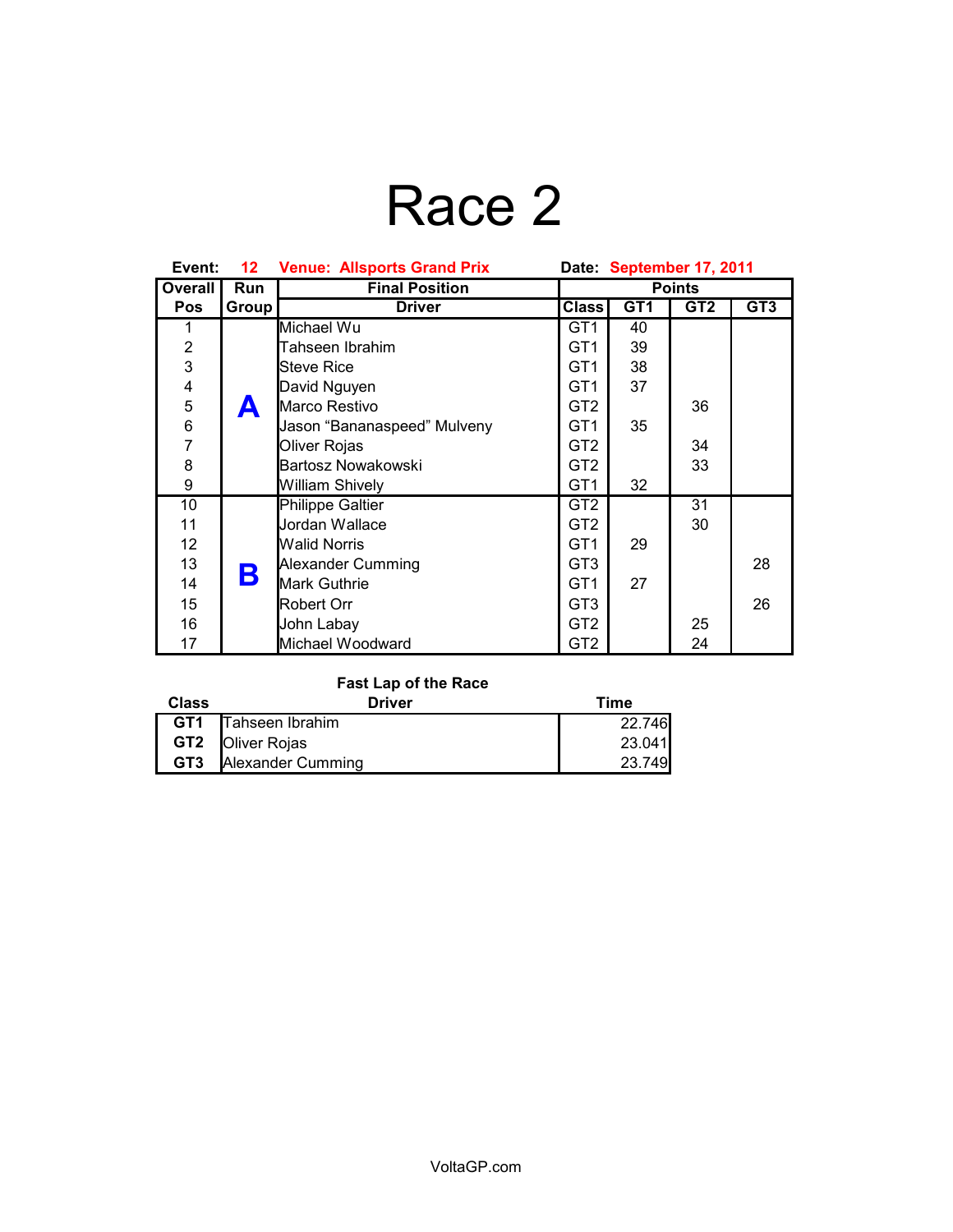# Race 2

| Event:                  | 12         | <b>Venue: Allsports Grand Prix</b><br>Date: September 17, 2011 |                 |                 |                 |                 |
|-------------------------|------------|----------------------------------------------------------------|-----------------|-----------------|-----------------|-----------------|
| Overall                 | <b>Run</b> | <b>Final Position</b>                                          | <b>Points</b>   |                 |                 |                 |
| <b>Pos</b>              | Group      | <b>Driver</b>                                                  | <b>Class</b>    | GT <sub>1</sub> | GT <sub>2</sub> | GT <sub>3</sub> |
|                         |            | Michael Wu                                                     | GT <sub>1</sub> | 40              |                 |                 |
| $\overline{2}$          |            | Tahseen Ibrahim                                                | GT <sub>1</sub> | 39              |                 |                 |
| 3                       |            | <b>Steve Rice</b>                                              | GT <sub>1</sub> | 38              |                 |                 |
| $\overline{\mathbf{4}}$ |            | David Nguyen                                                   | GT <sub>1</sub> | 37              |                 |                 |
| 5                       |            | Marco Restivo                                                  | GT <sub>2</sub> |                 | 36              |                 |
| 6                       |            | Jason "Bananaspeed" Mulveny                                    | GT1             | 35              |                 |                 |
| $\overline{7}$          |            | Oliver Rojas                                                   | GT2             |                 | 34              |                 |
| 8                       |            | Bartosz Nowakowski                                             | GT <sub>2</sub> |                 | 33              |                 |
| 9                       |            | <b>William Shively</b>                                         | GT1             | 32              |                 |                 |
| 10                      |            | <b>Philippe Galtier</b>                                        | GT <sub>2</sub> |                 | 31              |                 |
| 11                      |            | Jordan Wallace                                                 | GT <sub>2</sub> |                 | 30              |                 |
| 12                      | Β          | Walid Norris                                                   | GT <sub>1</sub> | 29              |                 |                 |
| 13                      |            | Alexander Cumming                                              | GT3             |                 |                 | 28              |
| 14                      |            | <b>Mark Guthrie</b>                                            | GT <sub>1</sub> | 27              |                 |                 |
| 15                      |            | Robert Orr                                                     | GT <sub>3</sub> |                 |                 | 26              |
| 16                      |            | John Labay                                                     | GT <sub>2</sub> |                 | 25              |                 |
| 17                      |            | Michael Woodward                                               | GT <sub>2</sub> |                 | 24              |                 |

#### **Fast Lap of the Race**

| <b>Class</b>    | <b>Driver</b>              | Time   |
|-----------------|----------------------------|--------|
|                 | <b>GT1</b> Tahseen Ibrahim | 22.746 |
|                 | <b>GT2 Oliver Rojas</b>    | 23.041 |
| GT <sub>3</sub> | Alexander Cumming          | 23.749 |